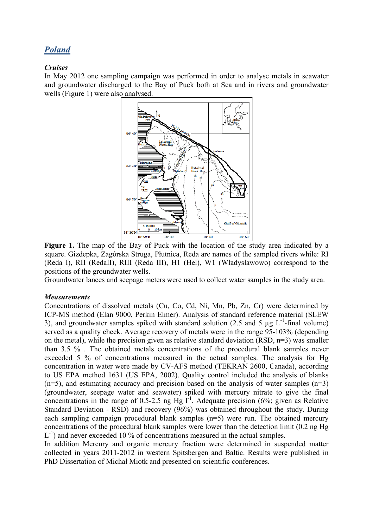# *Poland*

# *Cruises*

In May 2012 one sampling campaign was performed in order to analyse metals in seawater and groundwater discharged to the Bay of Puck both at Sea and in rivers and groundwater wells (Figure 1) were also analysed.



Figure 1. The map of the Bay of Puck with the location of the study area indicated by a square. Gizdepka, Zagórska Struga, Płutnica, Reda are names of the sampled rivers while: RI (Reda I), RII (RedaII), RIII (Reda III), H1 (Hel), W1 (Władysławowo) correspond to the positions of the groundwater wells.

Groundwater lances and seepage meters were used to collect water samples in the study area.

#### *Measurements*

Concentrations of dissolved metals (Cu, Co, Cd, Ni, Mn, Pb, Zn, Cr) were determined by ICP-MS method (Elan 9000, Perkin Elmer). Analysis of standard reference material (SLEW 3), and groundwater samples spiked with standard solution (2.5 and 5  $\mu$ g L<sup>-1</sup>-final volume) served as a quality check. Average recovery of metals were in the range 95-103% (depending on the metal), while the precision given as relative standard deviation (RSD,  $n=3$ ) was smaller than 3.5 % . The obtained metals concentrations of the procedural blank samples never exceeded 5 % of concentrations measured in the actual samples. The analysis for Hg concentration in water were made by CV-AFS method (TEKRAN 2600, Canada), according to US EPA method 1631 (US EPA, 2002). Quality control included the analysis of blanks  $(n=5)$ , and estimating accuracy and precision based on the analysis of water samples  $(n=3)$ (groundwater, seepage water and seawater) spiked with mercury nitrate to give the final concentrations in the range of 0.5-2.5 ng Hg  $I<sup>-1</sup>$ . Adequate precision (6%; given as Relative Standard Deviation - RSD) and recovery (96%) was obtained throughout the study. During each sampling campaign procedural blank samples (n=5) were run. The obtained mercury concentrations of the procedural blank samples were lower than the detection limit (0.2 ng Hg  $L^{-1}$ ) and never exceeded 10 % of concentrations measured in the actual samples.

In addition Mercury and organic mercury fraction were determined in suspended matter collected in years 2011-2012 in western Spitsbergen and Baltic. Results were published in PhD Dissertation of Michał Miotk and presented on scientific conferences.